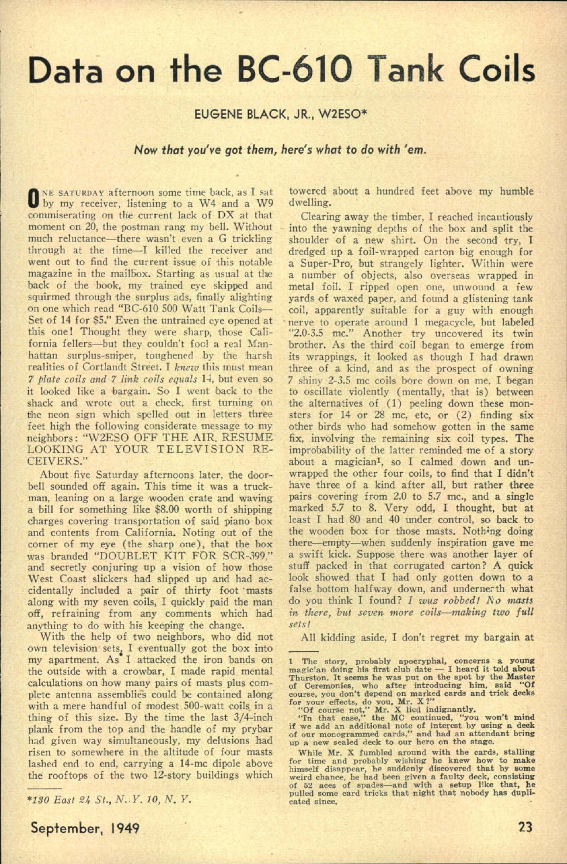•

## • **Data on the 8C-6 10 Tank Coils**

## *Now that you've got them, here's what* to *do with 'em.*

•

## EUGENE BLACK, JR., W2ESO\*

ONE SATURDAY afternoon some time back, as I sat by my receiver, listening to a W4 and a W9 commiserating on the current lack of DX at that moment on 20, the postman rang my bell. Without much reluctance—there wasn't even a G trickling through at the time-I killed the receiver and went out to find the current issue of this notable magazine in the mailbox. Starting as usual at the back of the book, my trained eye skipped and squirmed through the surplus ads, finally alighting on one which read "BC-610 500 Watt Tank Coils-Set of 14 for \$5." Even the untrained eye opened at this one! Thought they were sharp, those California fellers—but they couldn't fool a real Manhattan surplus-sniper, toughened by the harsh realities of Cortlandt Street. I knew this must mean *7 plate coils and 7 link coils equals* 14, but even so it looked like a bargain, So I went back to the shack and wrote out a check, first turning on the neon sign which spelled out in letters three feet high the following considerate message to my neighbors: "W2ESO OFF THE AIR. RESUME LOOKIXG AT YOUR TELEVISION RE-CEIVERS." About five Saturday afternoons later, the doorbell sounded off again. This time it was a truckman, leaning on a large wooden crate and waving a bill for something like \$8.00 worth of shipping charges covering transportation of said piano box and contents from California. Noting out of the corner of my eye (the sharp one), that the box was branded "DOUBLET KIT FOR SCR-399." and secretly conjuring up a vision of how those West Coast slickers had slipped up and had accidentally included a pair of thirty foot masts along with my seven coils, I quickly paid the man off, refraining from any comments which had anything to do with his keeping the change. With the help of two neighbors, who did not own television sets, I eventually got the box into my apartment. As I attacked the iron bands on the outside with a crowbar, I made rapid mental calculations on how many pairs of masts plus complete antenna assemblies could be contained along with a mere handful of modest 500-watt coils in a thing of this size. By the time the last 3/4-inch plank from the top and the handle of my prybar had given way simultaneously, my delusions had risen to somewhere in the altitude of four masts lashed end to end, carrying a 14-mc dipole above the rooftops of the two l2-story buildings which

"Of course not," Mr. X lied indignantly.

"In that case," the MC continued, "you won't mind if we add an additional note of interest by using a deck of our monogrammed cards," and had an attendant bring up a new sealed deck to our hero on the stage.

While Mr. X fumbled around with the cards, stalling for time and probably wishing he knew how to make himself disappear, he suddenly discovered that by some weird chance, he had been given a faulty deck, consisting of 52 aces of spades-and with a setup like that, he pulled some card tricks that night that nobody has dupli-

*'190 East* 24 *s i; N .. Y. 10, N. Y .*

towered about a hundred feet above my humble dwelling.

Clearing away the timber, I reached incautiously into the yawning depths of the box and split the shoulder of a new shirt. On the second try, I dredged up a foil-wrapped carton big enough for a Super-Pro, but strangely lighter. Within were a number of objects, also overseas wrapped in metal foil. I ripped open one, unwound a iew yards of waxed paper, and found a glistening tank coil, apparently suitable for a guy with enough • nerve to operate around 1 megacycle, but labeled "2.0-3.5 mc." Another try uncovered its twin brother, As the third coil began to emerge from its wrappings, it looked as though I had drawn three of a kind, and as the prospect of owning 7 shiny 2-3.5 mc coils bore down on me. I began to oscillate violently (mentally, that is) between the alternatives of  $(1)$  peeling down these monsters for  $14$  or  $28$  mc, etc, or  $(2)$  finding six other birds who had somehow gotten in the same fix, involving the remaining six coil types. The improbability of the latter reminded me of a story about a magiciant, so I calmed down and unwrapped the other four coils, to find that I didn't have three of a kind after all, but rather three pairs covering from 2.0 to 5.7 mc., and a single marked 5.7 to 8. Very odd, I thought, but at least I had 80 and 40 under control, so back to the wooden box for those masts. Nothing doing there—empty—when suddenly inspiration gave me a swift kick. Suppose there was another layer of stuff packed in that corrugated carton? A quick look showed that I had only gotten down to a false bottom halfway down, and undernerth what do you think I found? I *wuz robbed!* No masts *in there, but seven more coils-making two f ull sets!*



All kidding aside, I don't regret my bargain at

<sup>1</sup> The story, probably apocryphal, concerns a young magic an doing his first club date - I heard it told about Thurston. It seems he was put on the spot by the Master of Ceremonies, who after introducing him, said "Of course, you don't depend on marked cards and trick decks for your effects, do you, Mr.  $X$ ?"